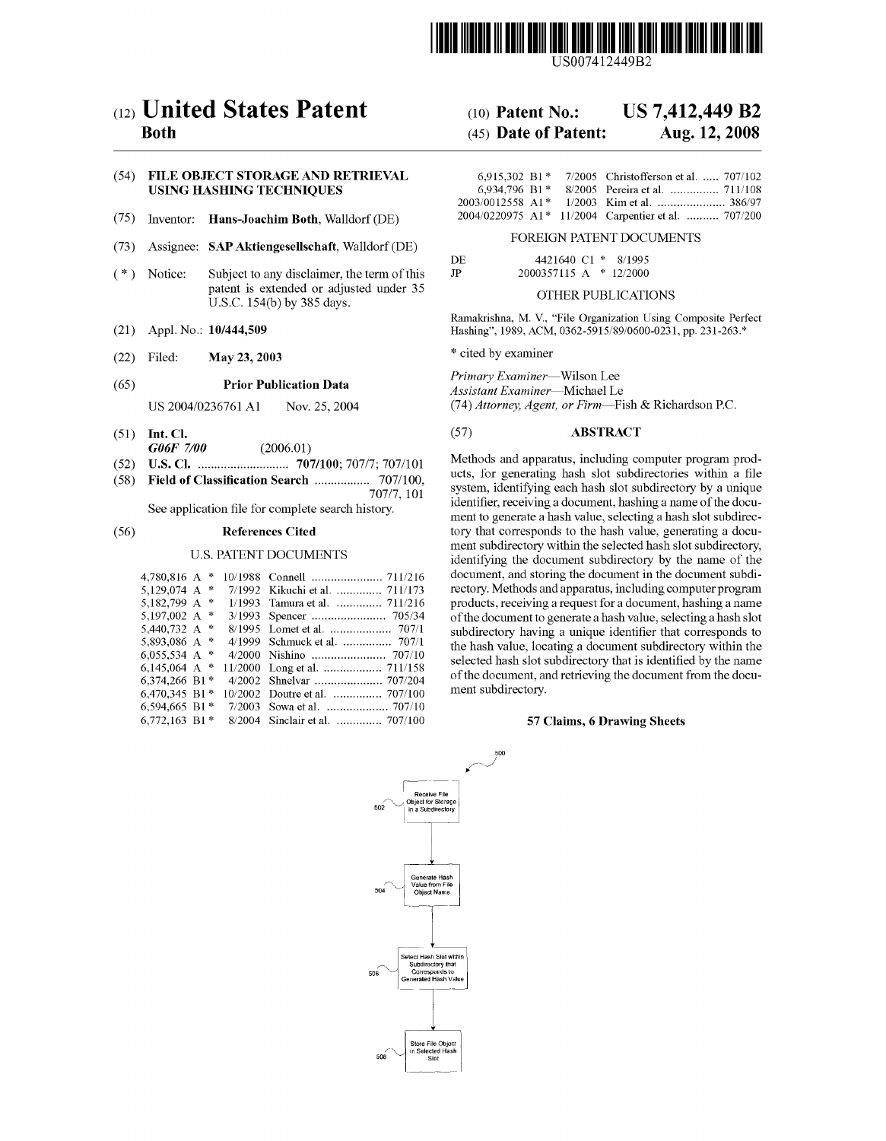

US007412449B2

# (12) **United States Patent**

# **Both**

# (54) **FILE OBJECT STORAGE AND RETRIEVAL USING HASHING TECHNIQUES**

- (75) Inventor: **Hans-Joachim Both,** Walldorf (DE)
- (73) Assignee: **SAP Aktiengesellschaft,** Walldorf (DE)
- Subject to any disclaimer, the term of this patent is extended or adjusted under 35 U.S.c. 154(b) by 385 days. ( \*) Notice:
- (21) Appl. No.: **10/444,509**
- (22) Filed: May 23, **2003**

# (65) **Prior Publication Data**

US 2004/0236761 **Al** Nov. 25, 2004

- (51) **Int. Cl.** *G06F 7/00 (2006.01)*
- **U.S. Cl.** 707/100; *70717; 707/101* (52)
- **Field of Classification Search** ................. 707/100, (58)
- *70717,* 101 See application file for complete search history.

#### **References Cited** (56)

#### U.S. PATENT DOCUMENTS

| 4,780,816 A *    |  |                                 |
|------------------|--|---------------------------------|
| 5.129.074 A *    |  | 7/1992 Kikuchi et al.  711/173  |
| 5.182.799 A $*$  |  | 1/1993 Tamura et al.  711/216   |
| 5.197.002 A $*$  |  |                                 |
| 5.440.732 A $*$  |  |                                 |
| 5,893,086 A *    |  | 4/1999 Schmuck et al.  707/1    |
| 6.055.534 A $*$  |  |                                 |
| 6,145,064 A $*$  |  |                                 |
| 6,374,266 B1*    |  | 4/2002 Shnelvar  707/204        |
| 6,470,345 B1 $*$ |  | 10/2002 Doutre et al.  707/100  |
| 6,594,665 B1 $*$ |  |                                 |
| 6.772.163 B1 $*$ |  | 8/2004 Sinclair et al.  707/100 |
|                  |  |                                 |

#### (10) **Patent No.: US 7,412,449 B2**

#### (45) **Date of Patent: Aug. 12, 2008**

|                  |  | 6.915.302 B1* 7/2005 Christofferson et al.  707/102 |
|------------------|--|-----------------------------------------------------|
| $6.934.796 B1*$  |  |                                                     |
| 2003/0012558 A1* |  | 1/2003 Kim et al.  386/97                           |
|                  |  | 2004/0220975 A1* 11/2004 Carpentier et al.  707/200 |

## FOREIGN PATENT DOCUMENTS

| -DE | 4421640 C1 * 8/1995    |  |  |
|-----|------------------------|--|--|
| .IP | 2000357115 A * 12/2000 |  |  |

# OTHER PUBLICATIONS

Ramakrishna, M. V, "File Organization Using Composite Perfect Hashing", 1989, ACM, 0362-5915/89/0600-0231, pp. 231-263.\*

\* cited by examiner

500

*Primary Examiner-Wilson* Lee *Assistant Examiner-Michael* Le *(74) Attorney, Agent, or Firm-Fish* & Richardson P.c.

# (57) **ABSTRACT**

Methods and apparatus, including computer program products, for generating hash slot subdirectories within a file system, identifying each hash slot subdirectory by a unique identifier, receiving a document, hashing a name of the document to generate a hash value, selecting a hash slot subdirectory that corresponds to the hash value, generating a document subdirectory within the selected hash slot subdirectory, identifying the document subdirectory by the name of the document, and storing the document in the document subdirectory. Methods and apparatus, including computer program products, receiving a request for a document, hashing a name of the document to generate a hash value, selecting a hash slot subdirectory having a unique identifier that corresponds to the hash value, locating a document subdirectory within the selected hash slot subdirectory that is identified by the name of the document, and retrieving the document from the document subdirectory.

### 57 **Claims, 6 Drawing Sheets**

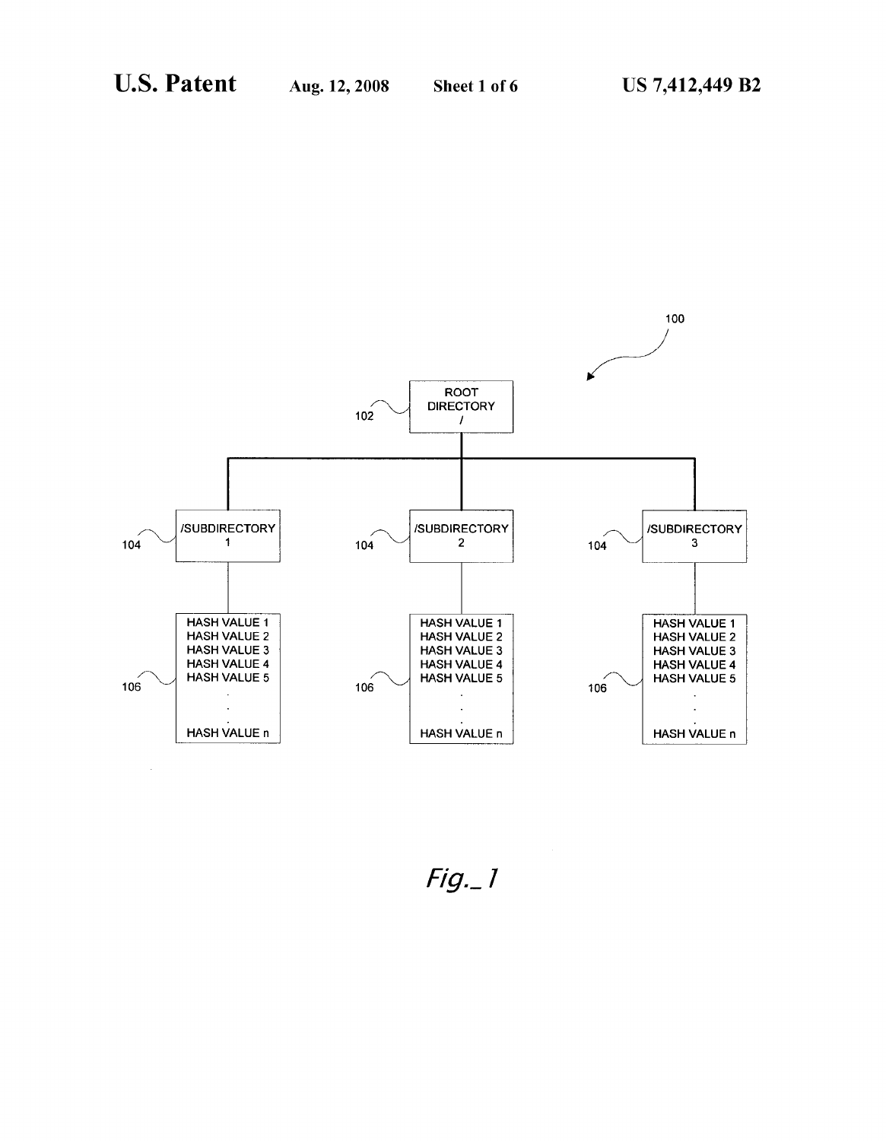

*Fig.\_'*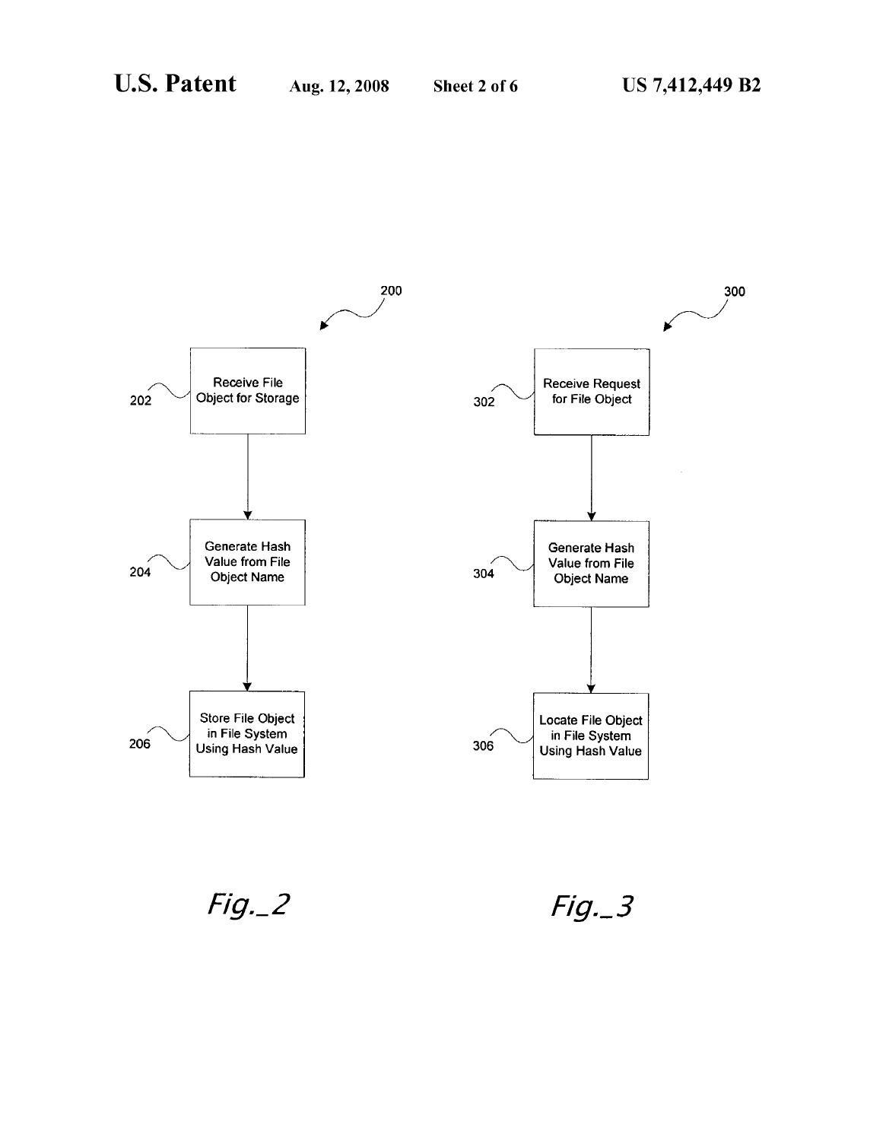

 $Fig. 2$ 

 $Fig. 3$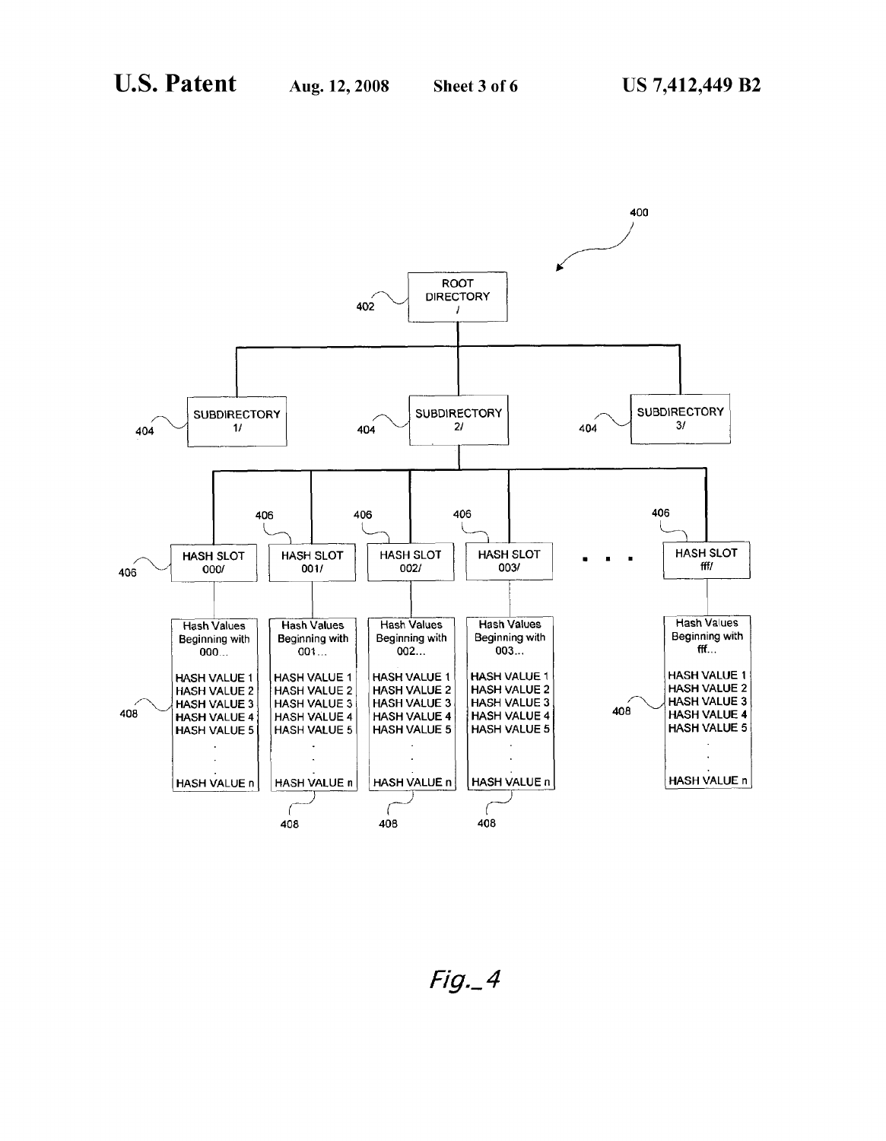

 $Fig. 4$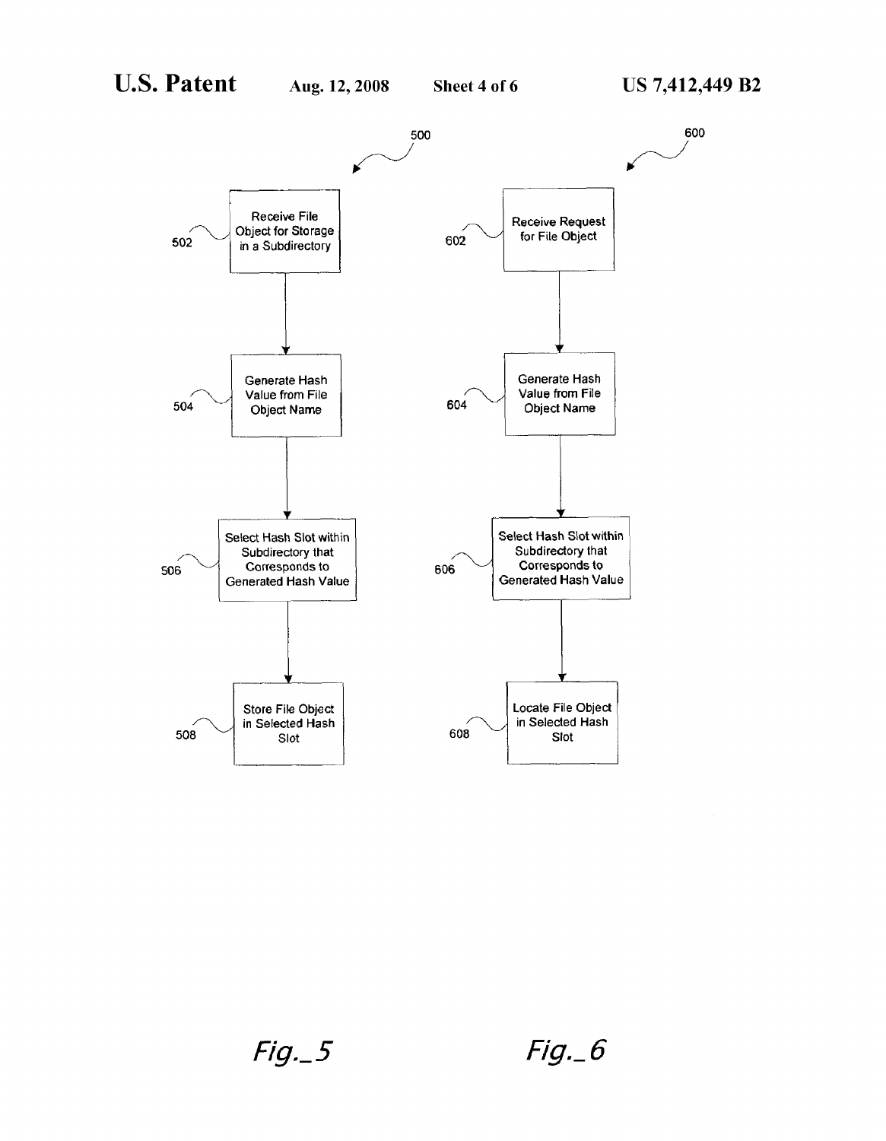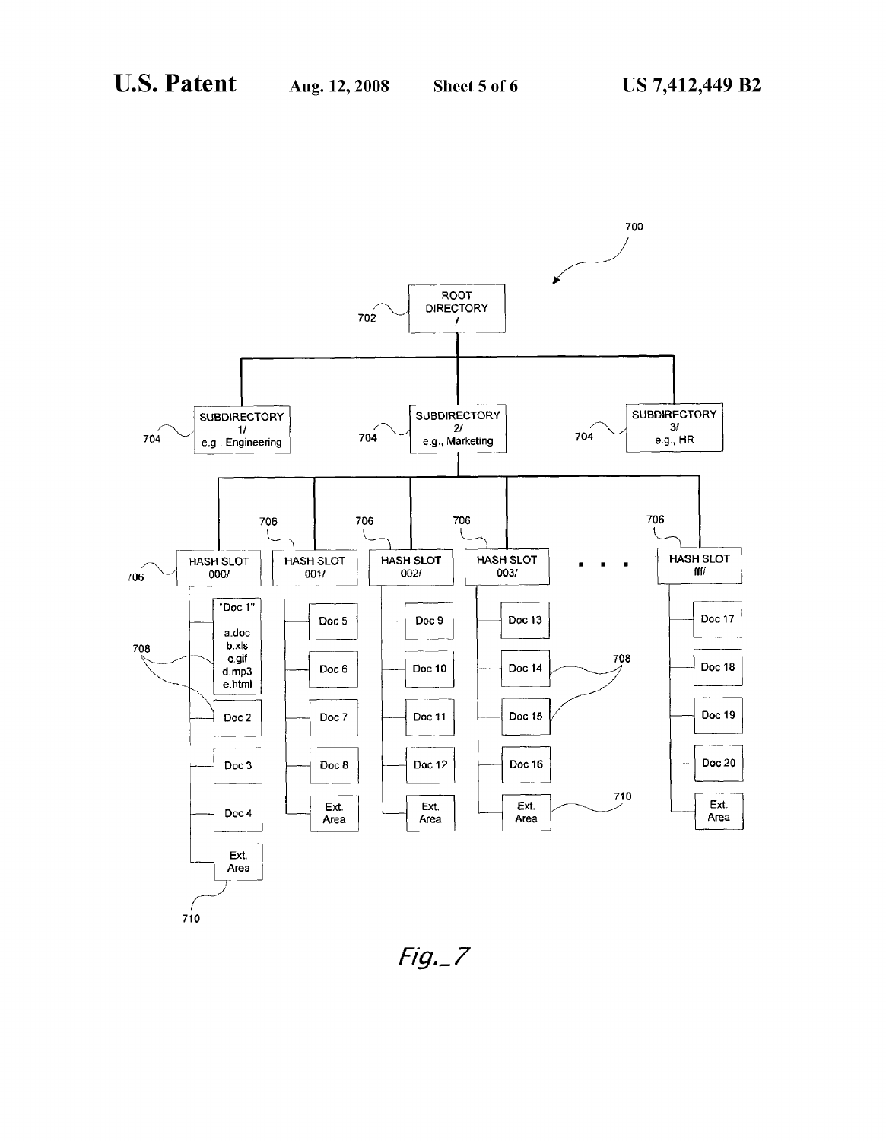

 $Fig. 7$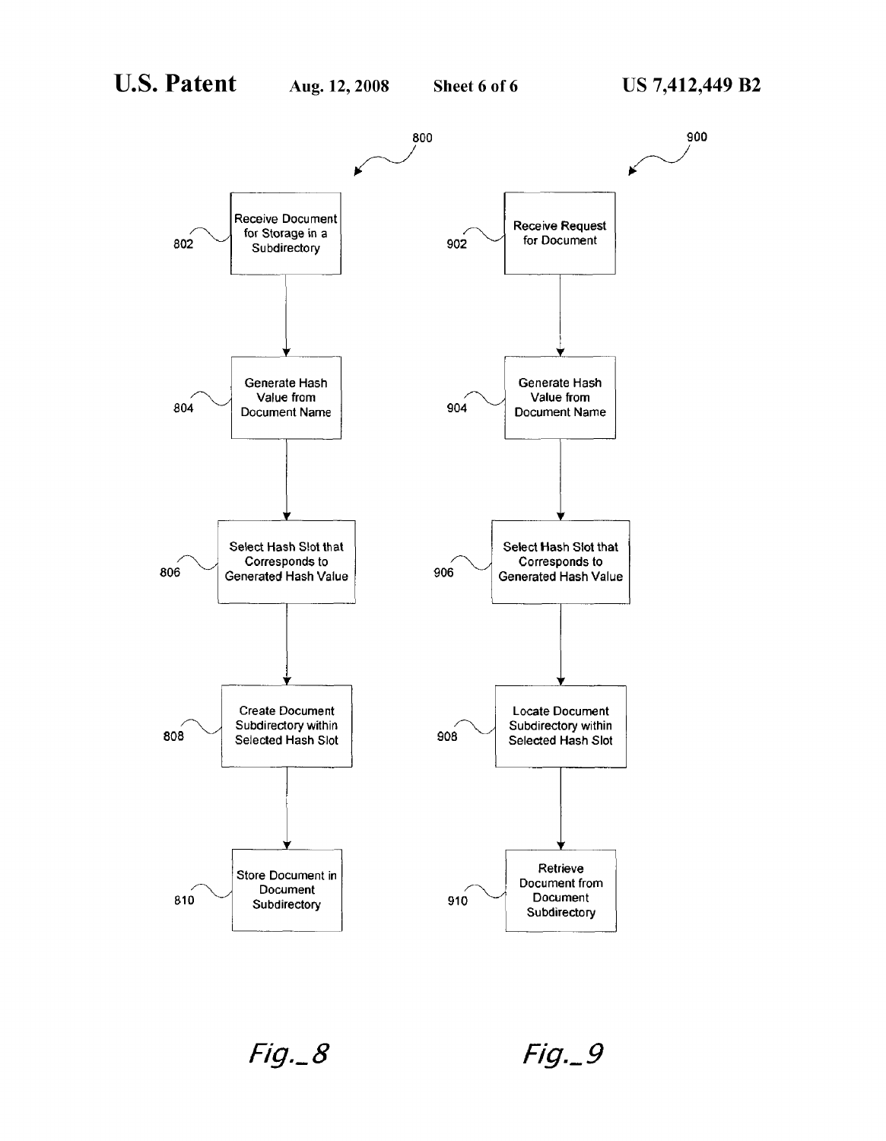

 $Fig. 8$ 

 $Fig. 9$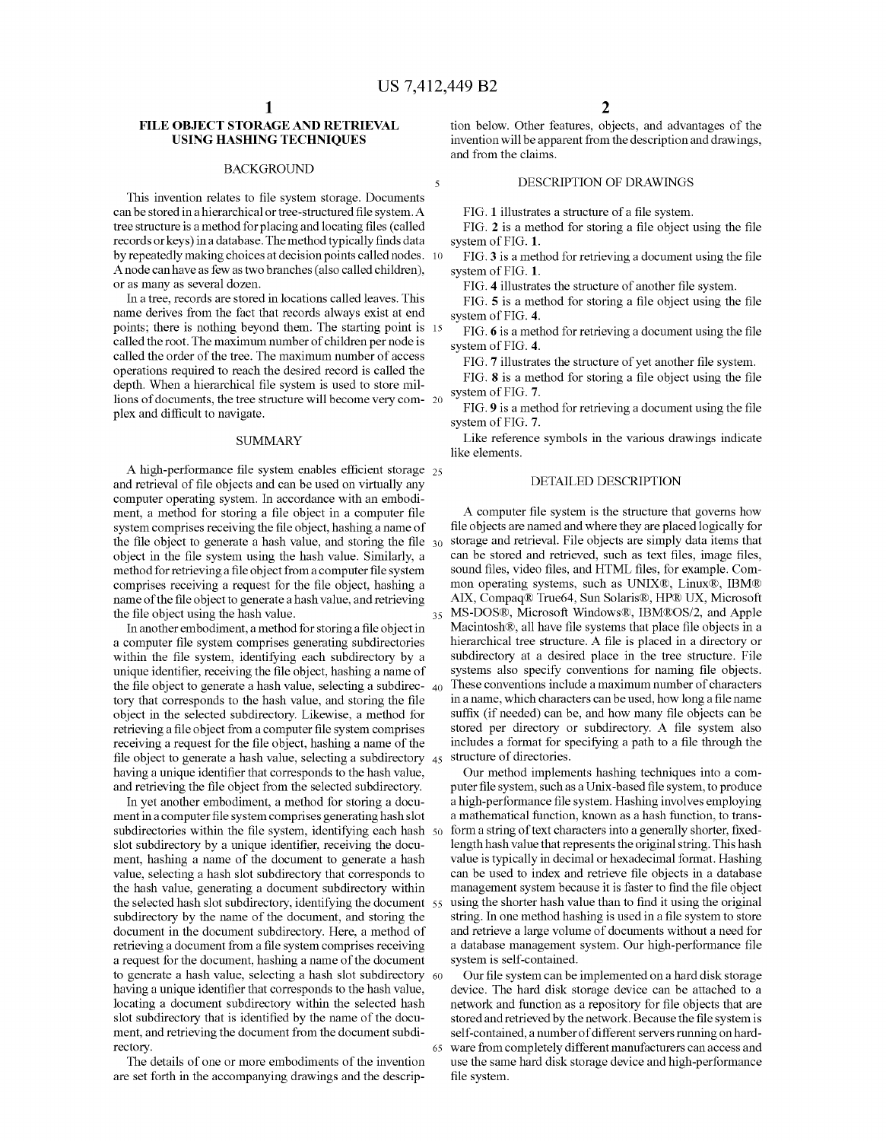# **FILE OBJECT STORAGE AND RETRIEVAL USING HASHING TECHNIQUES**

## BACKGROUND

This invention relates to file system storage. Documents can be stored in a hierarchical or tree-structured file system. A tree structure is a method for placing and locating files (called records or keys) in a database. The method typically finds data by repeatedly making choices at decision points called nodes. 10 Anode can have as few as two branches (also called children), or as many as several dozen.

In a tree, records are stored in locations called leaves. This name derives from the fact that records always exist at end points; there is nothing beyond them. The starting point is 15 called the root. The maximum number of children per node is called the order of the tree. The maximum number of access operations required to reach the desired record is called the depth. When a hierarchical file system is used to store millions of documents, the tree structure will become very com- 20 plex and difficult to navigate.

#### SUMMARY

A high-performance file system enables efficient storage 25 and retrieval of file objects and can be used on virtually any computer operating system. In accordance with an embodiment, a method for storing a file object in a computer file system comprises receiving the file object, hashing a name of the file object to generate a hash value, and storing the file  $30$ object in the file system using the hash value. Similarly, a method for retrieving a file object from a computer file system comprises receiving a request for the file object, hashing a name of the file object to generate a hash value, and retrieving the file object using the hash value.

In another embodiment, a method for storing a file object in a computer file system comprises generating subdirectories within the file system, identifying each subdirectory by a unique identifier, receiving the file object, hashing a name of the file object to generate a hash value, selecting a subdirec- 40 tory that corresponds to the hash value, and storing the file object in the selected subdirectory. Likewise, a method for retrieving a file object from a computer file system comprises receiving a request for the file object, hashing a name of the file object to generate a hash value, selecting a subdirectory 45 having a unique identifier that corresponds to the hash value, and retrieving the file object from the selected subdirectory.

In yet another embodiment, a method for storing a document in a computer file system comprises generating hash slot subdirectories within the file system, identifying each hash 50 slot subdirectory by a unique identifier, receiving the document, hashing a name of the document to generate a hash value, selecting a hash slot subdirectory that corresponds to the hash value, generating a document subdirectory within the selected hash slot subdirectory, identifying the document 55 subdirectory by the name of the document, and storing the document in the document subdirectory. Here, a method of retrieving a document from a file system comprises receiving a request for the document, hashing a name of the document to generate a hash value, selecting a hash slot subdirectory 60 having a unique identifier that corresponds to the hash value, locating a document subdirectory within the selected hash slot subdirectory that is identified by the name of the document, and retrieving the document from the document subdirectory.

The details of one or more embodiments of the invention are set forth in the accompanying drawings and the description below. Other features, objects, and advantages of the invention will be apparent from the description and drawings, and from the claims.

## DESCRIPTION OF DRAWINGS

FIG. 1 illustrates a structure of a file system.

FIG. 2 is a method for storing a file object using the file system of FIG. 1.

FIG. 3 is a method for retrieving a document using the file system of FIG. 1.

FIG. 4 illustrates the structure of another file system.

FIG. 5 is a method for storing a file object using the file system of FIG. 4.

FIG. 6 is a method for retrieving a document using the file system of FIG. 4.

FIG. 7 illustrates the structure of yet another file system.

FIG. 8 is a method for storing a file object using the file system of FIG. 7.

FIG. 9 is a method for retrieving a document using the file system of FIG. 7.

Like reference symbols in the various drawings indicate like elements.

# DETAILED DESCRIPTION

A computer file system is the structure that governs how file objects are named and where they are placed logically for storage and retrieval. File objects are simply data items that can be stored and retrieved, such as text files, image files, sound files, video files, and HTML files, for example. Common operating systems, such as UNIX®, Linux®, IBM® AIX, Compaq® True64, Sun Solaris®, HP® UX, Microsoft 35 MS-DOS®, Microsoft Windows®, IBM®OS/2, and Apple Macintosh®, all have file systems that place file objects in a hierarchical tree structure. A file is placed in a directory or subdirectory at a desired place in the tree structure. File systems also specify conventions for naming file objects. These conventions include a maximum number of characters in a name, which characters can be used, how long a file name suffix (if needed) can be, and how many file objects can be stored per directory or subdirectory. A file system also includes a format for specifying a path to a file through the structure of directories.

Our method implements hashing techniques into a computer file system, such as a Unix-based file system, to produce a high-performance file system. Hashing involves employing a mathematical function, known as a hash function, to transform a string of text characters into a generally shorter, fixedlength hash value that represents the original string. This hash value is typically in decimal or hexadecimal format. Hashing can be used to index and retrieve file objects in a database management system because it is faster to find the file object using the shorter hash value than to find it using the original string. In one method hashing is used in a file system to store and retrieve a large volume of documents without a need for a database management system. Our high-performance file system is self-contained.

Our file system can be implemented on a hard disk storage device. The hard disk storage device can be attached to a network and function as a repository for file objects that are stored and retrieved by the network. Because the file system is self-contained, a number of different servers running on hard-65 ware from completely different manufacturers can access and use the same hard disk storage device and high-performance file system.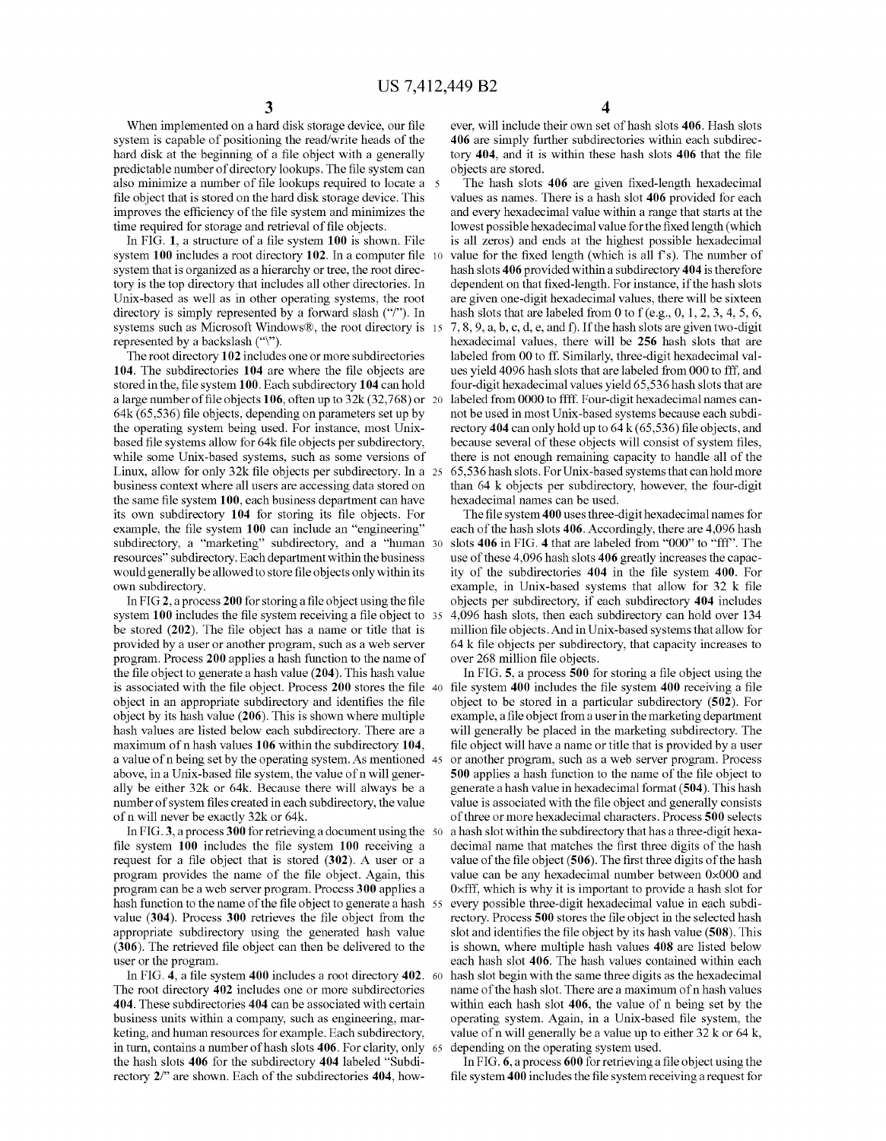When implemented on a hard disk storage device, our file system is capable of positioning the read/write heads of the hard disk at the beginning of a file object with a generally predictable number of directory lookups. The file system can also minimize a number of file lookups required to locate a 5 file object that is stored on the hard disk storage device. This improves the efficiency of the file system and minimizes the time required for storage and retrieval of file objects.

In FIG. 1, a structure of a file system 100 is shown. File system 100 includes a root directory 102. In a computer file 10 system that is organized as a hierarchy or tree, the root directory is the top directory that includes all other directories. In Unix-based as well as in other operating systems, the root directory is simply represented by a forward slash ("/"). In systems such as Microsoft Windows®, the root directory is 15 represented by a backslash ("\").

The root directory 102 includes one or more subdirectories 104. The subdirectories 104 are where the file objects are stored in the, file system 100. Each subdirectory 104 can hold a large number of file objects 106, often up to 32k (32,768) or 20 64k (65,536) file objects, depending on parameters set up by the operating system being used. For instance, most Unixbased file systems allow for 64k file objects per subdirectory, while some Unix-based systems, such as some versions of Linux, allow for only 32k file objects per subdirectory. In a 25 business context where all users are accessing data stored on the same file system 100, each business department can have its own subdirectory 104 for storing its file objects. For example, the file system 100 can include an "engineering" subdirectory, a "marketing" subdirectory, and a "human 30 resources" subdirectory. Each department within the business would generally be allowed to store file objects only within its own subdirectory.

In FIG 2, a process 200 for storing a file object using the file system 100 includes the file system receiving a file object to 35 be stored (202). The file object has a name or title that is provided by a user or another program, such as a web server program. Process 200 applies a hash function to the name of the file object to generate a hash value (204). This hash value is associated with the file object. Process 200 stores the file 40 file system 400 includes the file system 400 receiving a file object in an appropriate subdirectory and identifies the file object by its hash value (206). This is shown where multiple hash values are listed below each subdirectory. There are a maximum of n hash values 106 within the subdirectory 104, a value of n being set by the operating system. As mentioned 45 above, in a Unix-based file system, the value of n will generally be either 32k or 64k. Because there will always be a number of system files created in each subdirectory, the value of n will never be exactly 32k or 64k.

In FIG. 3, a process 300 for retrieving a document using the  $50$ file system 100 includes the file system 100 receiving a request for a file object that is stored (302). A user or a program provides the name of the file object. Again, this program can be a web server program. Process 300 applies a hash function to the name of the file object to generate a hash 55 value (304). Process 300 retrieves the file object from the appropriate subdirectory using the generated hash value (306). The retrieved file object can then be delivered to the user or the program.

In FIG. 4, a file system 400 includes a root directory 402. 60 The root directory 402 includes one or more subdirectories 404. These subdirectories 404 can be associated with certain business units within a company, such as engineering, marketing, and human resources for example. Each subdirectory, in turn, contains a number of hash slots 406. For clarity, only the hash slots 406 for the subdirectory 404 labeled "Subdirectory 2/" are shown. Each of the subdirectories 404, how4

ever, will include their own set of hash slots 406. Hash slots 406 are simply further subdirectories within each subdirectory 404, and it is within these hash slots 406 that the file objects are stored.

The hash slots 406 are given fixed-length hexadecimal values as names. There is a hash slot 406 provided for each and every hexadecimal value within a range that starts at the lowest possible hexadecimal value for the fixed length (which is all zeros) and ends at the highest possible hexadecimal value for the fixed length (which is all f's). The number of hash slots 406 provided within a subdirectory 404 is therefore dependent on that fixed -length. For instance, if the hash slots are given one-digit hexadecimal values, there will be sixteen hash slots that are labeled from 0 to f (e.g.,  $0, 1, 2, 3, 4, 5, 6$ , 7, 8, 9, a, b, c, d, e, and f). Ifthe hash slots are given two-digit hexadecimal values, there will be 256 hash slots that are labeled from 00 to ff. Similarly, three-digit hexadecimal values yield 4096 hash slots that are labeled from 000 to fff, and four-digit hexadecimal values yield 65,536 hash slots that are labeled from 0000 to ffff. Four-digit hexadecimal names cannot be used in most Unix-based systems because each subdirectory 404 can only hold up to  $64 \text{ k}$  (65,536) file objects, and because several of these objects will consist of system files, there is not enough remaining capacity to handle all of the 65,536 hash slots. For Unix-based systems that can hold more than 64 k objects per subdirectory, however, the four-digit hexadecimal names can be used.

The file system 400 uses three-digit hexadecimal names for each of the hash slots 406. Accordingly, there are 4,096 hash slots 406 in FIG. 4 that are labeled from "000" to "fff". The use of these 4,096 hash slots 406 greatly increases the capacity of the subdirectories 404 in the file system 400. For example, in Unix-based systems that allow for 32 k file objects per subdirectory, if each subdirectory 404 includes 4,096 hash slots, then each subdirectory can hold over 134 million file objects. And in Unix-based systems that allow for 64 k file objects per subdirectory, that capacity increases to over 268 million file objects.

In FIG. 5, a process 500 for storing a file object using the object to be stored in a particular subdirectory (502). For example, a file object from a user in the marketing department will generally be placed in the marketing subdirectory. The file object will have a name or title that is provided by a user or another program, such as a web server program. Process 500 applies a hash function to the name of the file object to generate a hash value in hexadecimal format (504). This hash value is associated with the file object and generally consists of three or more hexadecimal characters. Process 500 selects a hash slot within the subdirectory that has a three-digit hexadecimal name that matches the first three digits of the hash value of the file object (506). The first three digits of the hash value can be any hexadecimal number between OxOOOand Oxfff, which is why it is important to provide a hash slot for every possible three-digit hexadecimal value in each subdirectory. Process 500 stores the file object in the selected hash slot and identifies the file object by its hash value (508). This is shown, where multiple hash values 408 are listed below each hash slot 406. The hash values contained within each hash slot begin with the same three digits as the hexadecimal name of the hash slot. There are a maximum of n hash values within each hash slot 406, the value of n being set by the operating system. Again, in a Unix-based file system, the value of n will generally be a value up to either 32 k or 64 k, depending on the operating system used.

In FIG. 6, a process 600 for retrieving a file object using the file system 400 includes the file system receiving a request for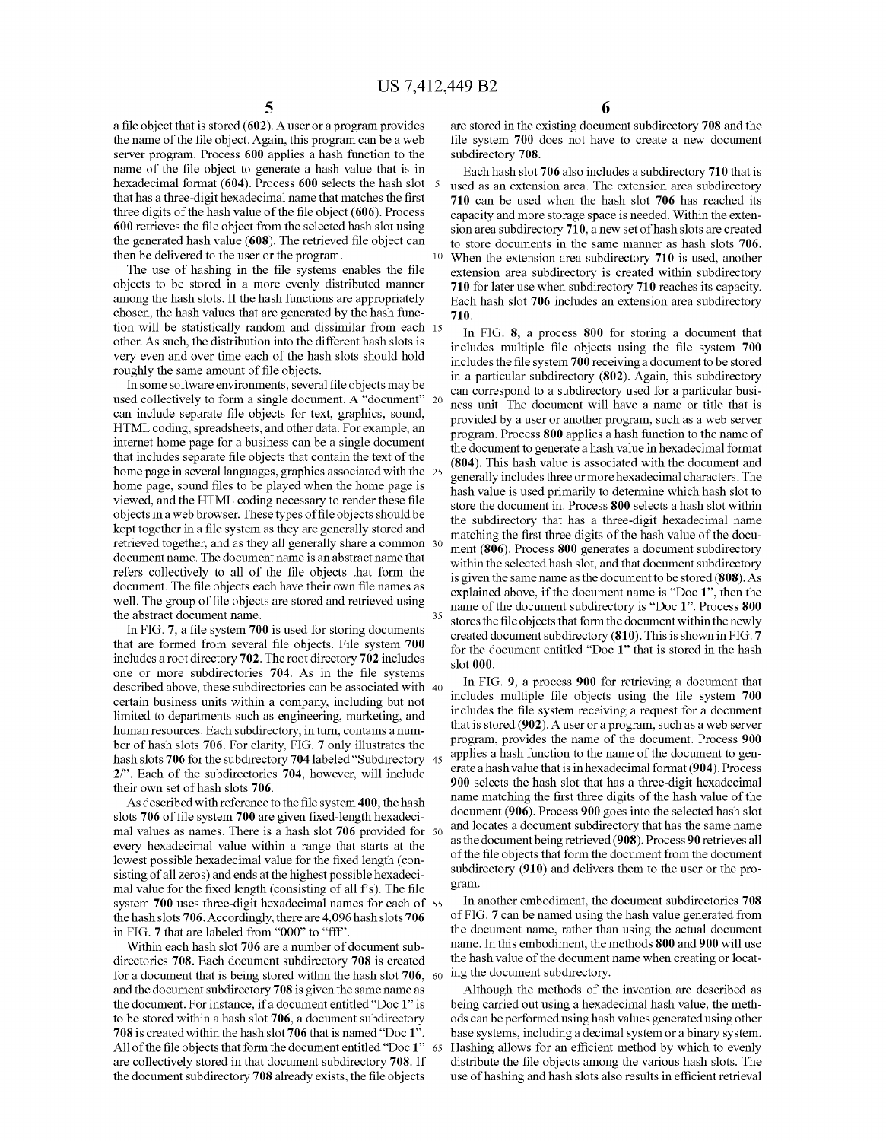a file object that is stored (602). A user or a program provides the name of the file object. Again, this program can be a web server program. Process 600 applies a hash function to the name of the file object to generate a hash value that is in hexadecimal format (604). Process 600 selects the hash slot that has a three-digit hexadecimal name that matches the first three digits of the hash value of the file object (606). Process 600 retrieves the file object from the selected hash slot using the generated hash value (608). The retrieved file object can then be delivered to the user or the program.

The use of hashing in the file systems enables the file objects to be stored in a more evenly distributed manner among the hash slots. If the hash functions are appropriately chosen, the hash values that are generated by the hash function will be statistically random and dissimilar from each 15 other. As such, the distribution into the different hash slots is very even and over time each of the hash slots should hold roughly the same amount of file objects.

In some software environments, several file objects may be used collectively to form a single document. A "document" 20 can include separate file objects for text, graphics, sound, HTML coding, spreadsheets, and other data. For example, an internet home page for a business can be a single document that includes separate file objects that contain the text of the home page in several languages, graphics associated with the 25 home page, sound files to be played when the home page is viewed, and the HTML coding necessary to render these file objects ina web browser. These types offile objects should be kept together in a file system as they are generally stored and retrieved together, and as they all generally share a common 30 document name. The document name is an abstract name that refers collectively to all of the file objects that form the document. The file objects each have their own file names as well. The group of file objects are stored and retrieved using the abstract document name.

In FIG. 7, a file system 700 is used for storing documents that are formed from several file objects. File system 700 includes a root directory 702. The root directory 702 includes one or more subdirectories 704. As in the file systems described above, these subdirectories can be associated with 40 certain business units within a company, including but not limited to departments such as engineering, marketing, and human resources. Each subdirectory, in turn, contains a number of hash slots 706. For clarity, FIG. 7 only illustrates the hash slots 706 for the subdirectory 704 labeled "Subdirectory 45 2/". Each of the subdirectories 704, however, will include their own set of hash slots 706.

As described with reference to the file system 400, the hash slots 706 of file system 700 are given fixed-length hexadecimal values as names. There is a hash slot 706 provided for 50 every hexadecimal value within a range that starts at the lowest possible hexadecimal value for the fixed length (consisting of all zeros) and ends at the highest possible hexadecimal value for the fixed length (consisting of all  $f$ s). The file system 700 uses three-digit hexadecimal names for each of 55 the hash slots 706. Accordingly, there are 4,096 hash slots 706 in FIG. 7 that are labeled from "ODD" to "fff".

Within each hash slot 706 are a number of document subdirectories 708. Each document subdirectory 708 is created for a document that is being stored within the hash slot 706, 60 and the document subdirectory 708 is given the same name as the document. For instance, if a document entitled "Doc I" is to be stored within a hash slot 706, a document subdirectory 708 is created within the hash slot 706 that is named "Doc 1". All of the file objects that form the document entitled "Doc I" <sup>65</sup> are collectively stored in that document subdirectory 708. If the document subdirectory 708 already exists, the file objects

6

are stored in the existing document subdirectory 708 and the file system 700 does not have to create a new document subdirectory 708.

Each hash slot 706 also includes a subdirectory 710 that is used as an extension area. The extension area subdirectory 710 can be used when the hash slot 706 has reached its capacity and more storage space is needed. Within the extension area subdirectory  $710$ , a new set of hash slots are created to store documents in the same marmer as hash slots 706. When the extension area subdirectory 710 is used, another extension area subdirectory is created within subdirectory 710 for later use when subdirectory 710 reaches its capacity. Each hash slot 706 includes an extension area subdirectory 710.

In FIG. 8, a process 800 for storing a document that includes multiple file objects using the file system 700 includes the file system 700 receiving a document to be stored in a particular subdirectory (802). Again, this subdirectory can correspond to a subdirectory used for a particular business unit. The document will have a name or title that is provided by a user or another program, such as a web server program. Process 800 applies a hash function to the name of the document to generate a hash value in hexadecimal format (804). This hash value is associated with the document and generally includes three or more hexadecimal characters. The hash value is used primarily to determine which hash slot to store the document in. Process 800 selects a hash slot within the subdirectory that has a three-digit hexadecimal name matching the first three digits of the hash value of the document (806). Process 800 generates a document subdirectory within the selected hash slot, and that document subdirectory is given the same name as the document to be stored (808). As explained above, if the document name is "Doc I", then the name of the document subdirectory is "Doc I". Process 800 stores the file objects that form the document within the newly created document subdirectory (810). This is shown in FIG. 7 for the document entitled "Doc I" that is stored in the hash slot 000.

In FIG. 9, a process 900 for retrieving a document that includes multiple file objects using the file system 700 includes the file system receiving a request for a document that is stored (902). A user or a program, such as a web server program, provides the name of the document. Process 900 applies a hash function to the name of the document to generate a hash value that is in hexadecimal format (904). Process 900 selects the hash slot that has a three-digit hexadecimal name matching the first three digits of the hash value of the document (906). Process 900 goes into the selected hash slot and locates a document subdirectory that has the same name as the document being retrieved (908). Process 90 retrieves all of the file objects that form the document from the document subdirectory (910) and delivers them to the user or the program.

In another embodiment, the document subdirectories 708 of FIG. 7 can be named using the hash value generated from the document name, rather than using the actual document name. In this embodiment, the methods 800 and 900 will use the hash value of the document name when creating or locating the document subdirectory.

Although the methods of the invention are described as being carried out using a hexadecimal hash value, the methods can be performed using hash values generated using other base systems, including a decimal system or a binary system. Hashing allows for an efficient method by which to evenly distribute the file objects among the various hash slots. The use of hashing and hash slots also results in efficient retrieval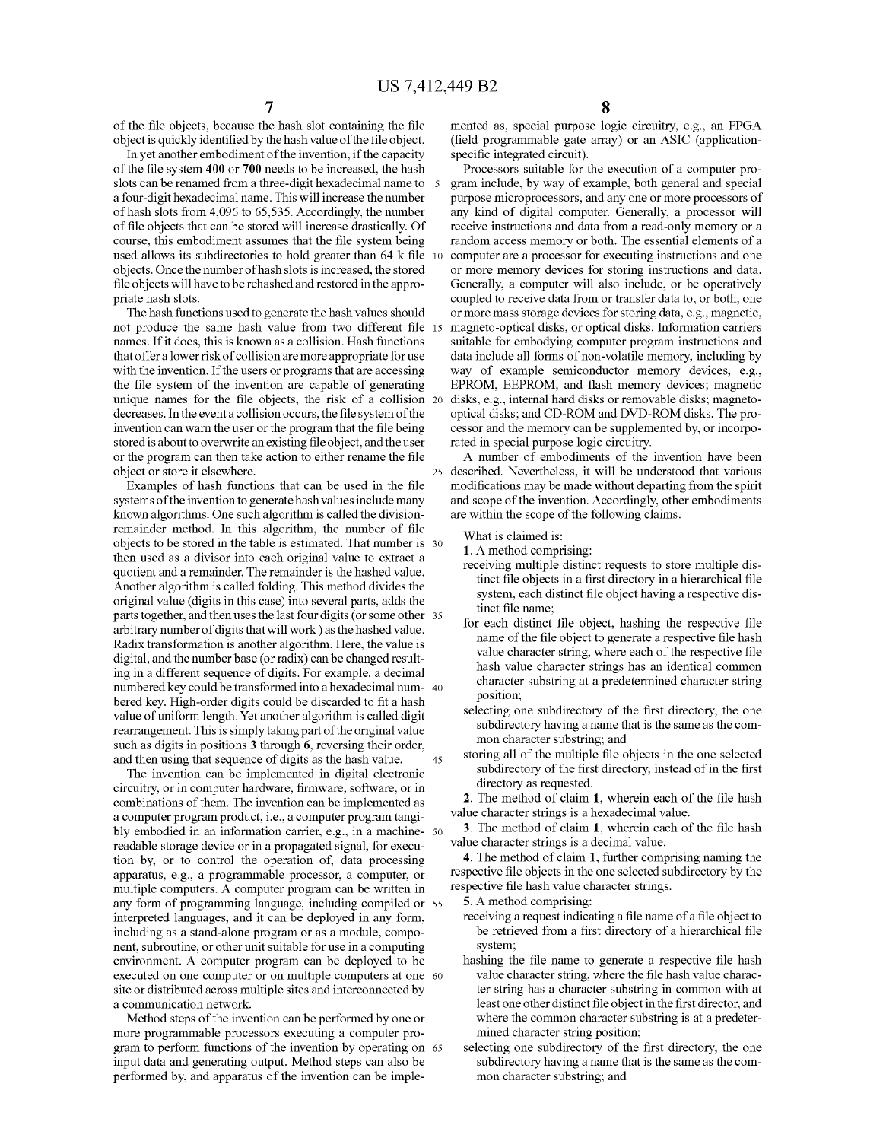of the file objects, because the hash slot containing the file object is quickly identified by the hash value of the file object.

In yet another embodiment of the invention, if the capacity of the file system **400 or 700** needs to be increased, the hash slots can be renamed from a three-digit hexadecimal name to a four-digit hexadecimal name. This will increase the number of hash slots from 4,096 to 65,535. Accordingly, the number of file objects that can be stored will increase drastically. Of course, this embodiment assumes that the file system being used allows its subdirectories to hold greater than **64** k file 10 objects. Once the number of hash slots is increased, the stored file objects will have to be rehashed and restored in the appropriate hash slots.

The hash functions used to generate the hash values should not produce the same hash value from two different file 15 names. If it does, this is known as a collision. Hash functions that offer a lower risk of collision are more appropriate for use with the invention. If the users or programs that are accessing the file system of the invention are capable of generating unique names for the file objects, the risk of a collision 20 disks, e.g., internal hard disks or removable disks; magnetodecreases. In the event a collision occurs, the file system of the invention can warn the user or the program that the file being stored is about to overwrite an existing file object, and the user or the program can then take action to either rename the file object or store it elsewhere.

Examples of hash functions that can be used in the file systems of the invention to generate hash values include many known algorithms. One such algorithm is called the divisionremainder method. In this algorithm, the number of file objects to be stored in the table is estimated. That number is 30 then used as a divisor into each original value to extract a quotient and a remainder. The remainder is the hashed value. Another algorithm is called folding. This method divides the original value (digits in this case) into several parts, adds the parts together, and then uses the last four digits (or some other 35 arbitrary number of digits that will work) as the hashed value. Radix transformation is another algorithm. Here, the value is digital, and the number base (or radix) can be changed resulting in a different sequence of digits. For example, a decimal numbered key could be transformed into a hexadecimal num- 40 bered key. High-order digits could be discarded to fit a hash value of uniform length. Yet another algorithm is called digit rearrangement. This is simply taking part of the original value such as digits in positions 3 through 6, reversing their order, and then using that sequence of digits as the hash value. 45

The invention can be implemented in digital electronic circuitry, or in computer hardware, firmware, software, or in combinations of them. The invention can be implemented as a computer program product, i.e., a computer program tangibly embodied in an information carrier, e.g., in a machine- 50 readable storage device or in a propagated signal, for execution by, or to control the operation of, data processing apparatus, e.g., a programmable processor, a computer, or multiple computers. A computer program can be written in any form of programming language, including compiled or 55 interpreted languages, and it can be deployed in any form, including as a stand-alone program or as a module, component, subroutine, or other unit suitable for use in a computing environment. A computer program can be deployed to be executed on one computer or on multiple computers at one 60 site or distributed across multiple sites and interconnected by a communication network.

Method steps of the invention can be performed by one or more programmable processors executing a computer program to perform functions of the invention by operating on 65 input data and generating output. Method steps can also be performed by, and apparatus of the invention can be imple-

mented as, special purpose logic circuitry, e.g., an FPGA (field progrannnable gate array) or an ASIC (applicationspecific integrated circuit).

Processors suitable for the execution of a computer program include, by way of example, both general and special purpose microprocessors, and anyone or more processors of any kind of digital computer. Generally, a processor will receive instructions and data from a read-only memory or a random access memory or both. The essential elements of a computer are a processor for executing instructions and one or more memory devices for storing instructions and data. Generally, a computer will also include, or be operatively coupled to receive data from or transfer data to, or both, one or more mass storage devices for storing data, e.g., magnetic, magneto-optical disks, or optical disks. Information carriers suitable for embodying computer program instructions and data include all forms of non-volatile memory, including by way of example semiconductor memory devices, e.g., EPROM, EEPROM, and flash memory devices; magnetic optical disks; and CD-ROM and DVD-ROM disks. The processor and the memory can be supplemented by, or incorporated in special purpose logic circuitry.

A number of embodiments of the invention have been 25 described. Nevertheless, it will be understood that various modifications may be made without departing from the spirit and scope of the invention. Accordingly, other embodiments are within the scope of the following claims.

What is claimed is:

1.A method comprising:

- receiving multiple distinct requests to store multiple distinct file objects in a first directory in a hierarchical file system, each distinct file object having a respective distinct file name;
- for each distinct file object, hashing the respective file name of the file object to generate a respective file hash value character string, where each of the respective file hash value character strings has an identical common character substring at a predetermined character string position;
- selecting one subdirectory of the first directory, the one subdirectory having a name that is the same as the common character substring; and
- storing all of the multiple file objects in the one selected subdirectory of the first directory, instead of in the first directory as requested.

2. The method of claim **1,** wherein each of the file hash value character strings is a hexadecimal value.

3. The method of claim **1,** wherein each of the file hash value character strings is a decimal value.

4. The method of claim **1,** further comprising naming the respective file objects in the one selected subdirectory by the respective file hash value character strings.

5. A method comprising:

- receiving a request indicating a file name of a file object to be retrieved from a first directory of a hierarchical file system;
- hashing the file name to generate a respective file hash value character string, where the file hash value character string has a character substring in common with at least one other distinct file object in the first director, and where the common character substring is at a predetermined character string position;
- selecting one subdirectory of the first directory, the one subdirectory having a name that is the same as the common character substring; and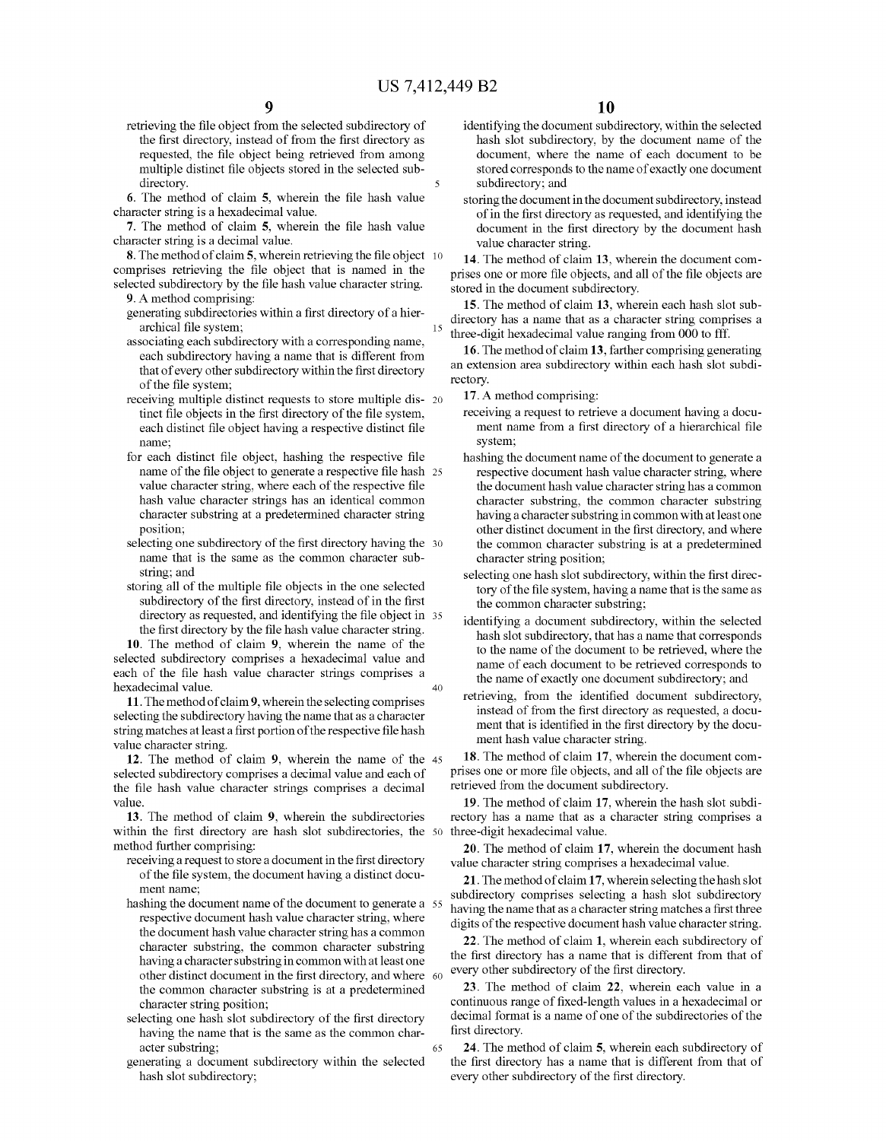retrieving the file object from the selected subdirectory of the first directory, instead of from the first directory as requested, the file object being retrieved from among multiple distinct file objects stored in the selected subdirectory.

6. The method of claim 5, wherein the file hash value character string is a hexadecimal value.

- 7. The method of claim 5, wherein the file hash value character string is a decimal value.
- 8. The method of claim 5, wherein retrieving the file object 10 comprises retrieving the file object that is named in the selected subdirectory by the file hash value character string. 9. A method comprising:
	- generating subdirectories within a first directory of a hierarchical file system;
	- associating each subdirectory with a corresponding name, each subdirectory having a name that is different from that of every other subdirectory within the first directory of the file system;
	- receiving multiple distinct requests to store multiple dis- 20 tinct file objects in the first directory of the file system, each distinct file object having a respective distinct file name;
	- for each distinct file object, hashing the respective file name of the file object to generate a respective file hash 25 value character string, where each of the respective file hash value character strings has an identical common character substring at a predetermined character string position;
	- selecting one subdirectory of the first directory having the 30 name that is the same as the common character substring; and
	- storing all of the multiple file objects in the one selected subdirectory of the first directory, instead of in the first directory as requested, and identifying the file object in 35 the first directory by the file hash value character string.

10. The method of claim 9, wherein the name of the selected subdirectory comprises a hexadecimal value and each of the file hash value character strings comprises a hexadecimal value. 40

11. The method of claim 9, wherein the selecting comprises selecting the subdirectory having the name that as a character string matches at least a first portion of the respective file hash value character string.

12. The method of claim 9, wherein the name of the 45 selected subdirectory comprises a decimal value and each of the file hash value character strings comprises a decimal value.

13. The method of claim 9, wherein the subdirectories within the first directory are hash slot subdirectories, the 50 three-digit hexadecimal value. method further comprising:

- receiving a request to store a document in the first directory of the file system, the document having a distinct document name:
- hashing the document name of the document to generate a 55 respective document hash value character string, where the document hash value character string has a common character substring, the common character substring having a character substring in common with at least one other distinct document in the first directory, and where 60 the common character substring is at a predetermined character string position;
- selecting one hash slot subdirectory of the first directory having the name that is the same as the common character substring;

65

generating a document subdirectory within the selected hash slot subdirectory;

- identifying the document subdirectory, within the selected hash slot subdirectory, by the document name of the document, where the name of each document to be stored corresponds to the name of exactly one document subdirectory; and
- storing the document in the document subdirectory, instead of in the first directory as requested, and identifying the document in the first directory by the document hash value character string.

14. The method of claim 13, wherein the document comprises one or more file objects, and all of the file objects are stored in the document subdirectory.

15. The method of claim 13, wherein each hash slot subdirectory has a name that as a character string comprises a <sup>15</sup> three-digit hexadecimal value ranging from 000 to fff.

16. The method of claim 13, farther comprising generating an extension area subdirectory within each hash slot subdirectory.

**17.** A method comprising:

- receiving a request to retrieve a document having a document name from a first directory of a hierarchical file system;
- hashing the document name of the document to generate a respective document hash value character string, where the document hash value character string has a common character substring, the common character substring having a character substring in common with at least one other distinct document in the first directory, and where the common character substring is at a predetermined character string position;
- selecting one hash slot subdirectory, within the first directory of the file system, having a name that is the same as the common character substring;
- identifying a document subdirectory, within the selected hash slot subdirectory, that has a name that corresponds to the name of the document to be retrieved, where the name of each document to be retrieved corresponds to the name of exactly one document subdirectory; and
- retrieving, from the identified document subdirectory, instead of from the first directory as requested, a document that is identified in the first directory by the document hash value character string.

18. The method of claim 17, wherein the document comprises one or more file objects, and all of the file objects are retrieved from the document subdirectory.

19. The method of claim 17, wherein the hash slot subdirectory has a name that as a character string comprises a

20. The method of claim 17, wherein the document hash value character string comprises a hexadecimal value.

**21.** The method of claim 17, wherein selecting the hash slot subdirectory comprises selecting a hash slot subdirectory having the name that as a character string matches a first three digits of the respective document hash value character string.

22. The method of claim 1, wherein each subdirectory of the first directory has a name that is different from that of every other subdirectory of the first directory.

23. The method of claim 22, wherein each value in a continuous range of fixed-length values in a hexadecimal or decimal format is a name of one of the subdirectories of the first directory.

24. The method of claim 5, wherein each subdirectory of the first directory has a name that is different from that of every other subdirectory of the first directory.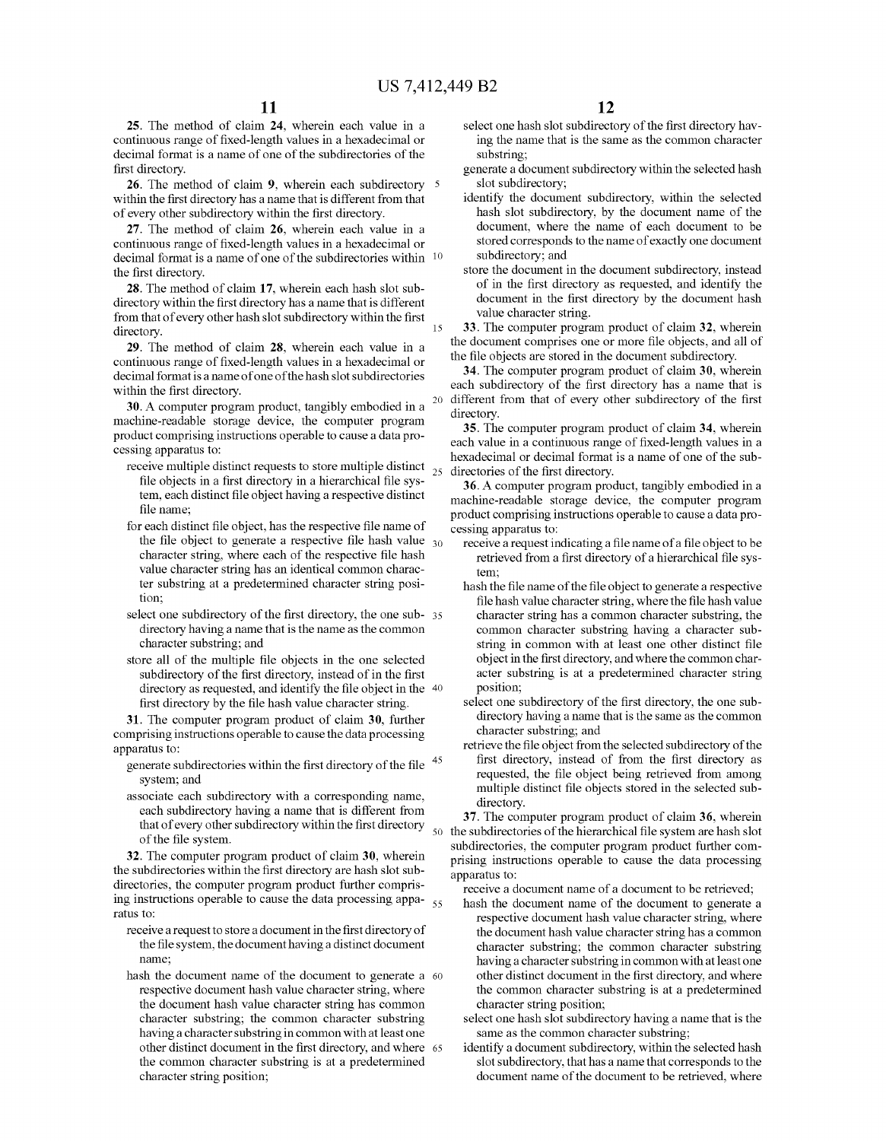25. The method of claim 24, wherein each value in a continuous range of fixed-length values in a hexadecimal or decimal format is a name of one of the subdirectories of the first directory.

26. The method of claim 9, wherein each subdirectory  $5$ within the first directory has a name that is different from that of every other subdirectory within the first directory.

27. The method of claim 26, wherein each value in a continuous range of fixed-length values in a hexadecimal or decimal format is a name of one of the subdirectories within 10 the first directory.

28. The method of claim 17, wherein each hash slot subdirectory within the first directory has a name that is different from that of every other hash slot subdirectory within the first directory. 15

29. The method of claim 28, wherein each value in a continuous range of fixed-length values in a hexadecimal or decimal format is a name of one of the hash slot subdirectories within the first directory.

30. A computer program product, tangibly embodied in a machine-readable storage device, the computer program product comprising instructions operable to cause a data processing apparatus to:

- receive multiple distinct requests to store multiple distinct file objects in a first directory in a hierarchical file system, each distinct file object having a respective distinct file name;
- for each distinct file object, has the respective file name of the file object to generate a respective file hash value  $_{30}$ character string, where each of the respective file hash value character string has an identical common character substring at a predetermined character string position;
- select one subdirectory of the first directory, the one sub- 35 directory having a name that is the name as the common character substring; and
- store all of the multiple file objects in the one selected subdirectory of the first directory, instead of in the first directory as requested, and identify the file object in the 40 first directory by the file hash value character string.

31. The computer program product of claim 30, further comprising instructions operable to cause the data processing apparatus to:

- generate subdirectories within the first directory of the file <sup>45</sup> system; and
- associate each subdirectory with a corresponding name, each subdirectory having a name that is different from that of every other subdirectory within the first directory of the file system.

32. The computer program product of claim 30, wherein the subdirectories within the first directory are hash slot subdirectories, the computer program product further comprising instructions operable to cause the data processing appa- $\frac{55}{25}$ ratus to:

- receive a request to store a document in the first directory of the file system, the document having a distinct document name;
- hash the document name of the document to generate a 60 respective document hash value character string, where the document hash value character string has common character substring; the common character substring having a character substring in common with at least one other distinct document in the first directory, and where 65 the common character substring is at a predetermined character string position;
- select one hash slot subdirectory of the first directory having the name that is the same as the common character substring;
- generate a document subdirectory within the selected hash slot subdirectory;
- identify the document subdirectory, within the selected hash slot subdirectory, by the document name of the document, where the name of each document to be stored corresponds to the name of exactly one document subdirectory; and
- store the document in the document subdirectory, instead of in the first directory as requested, and identify the document in the first directory by the document hash value character string.

33. The computer program product of claim 32, wherein the document comprises one or more file objects, and all of the file objects are stored in the document subdirectory.

34. The computer program product of claim 30, wherein each subdirectory of the first directory has a name that is different from that of every other subdirectory of the first directory.

35. The computer program product of claim 34, wherein each value in a continuous range of fixed-length values in a hexadecimal or decimal format is a name of one of the sub-25 directories of the first directory.

36. A computer program product, tangibly embodied in a machine-readable storage device, the computer program product comprising instructions operable to cause a data processing apparatus to:

- receive a request indicating a file name of a file object to be retrieved from a first directory of a hierarchical file system;
- hash the file name of the file object to generate a respective file hash value character string, where the file hash value character string has a common character substring, the common character substring having a character substring in common with at least one other distinct file object in the first directory, and where the common character substring is at a predetermined character string position;
- select one subdirectory of the first directory, the one subdirectory having a name that is the same as the common character substring; and
- retrieve the file object from the selected subdirectory of the first directory, instead of from the first directory as requested, the file object being retrieved from among multiple distinct file objects stored in the selected subdirectory.

37. The computer program product of claim 36, wherein 50 the subdirectories of the hierarchical file system are hash slot subdirectories, the computer program product further comprising instructions operable to cause the data processing apparatus to:

receive a document name of a document to be retrieved;

- hash the document name of the document to generate a respective document hash value character string, where the document hash value character string has a common character substring; the common character substring having a character substring in common with at least one other distinct document in the first directory, and where the common character substring is at a predetermined character string position;
- select one hash slot subdirectory having a name that is the same as the common character substring;
- identify a document subdirectory, within the selected hash slot subdirectory, that has a name that corresponds to the document name of the document to be retrieved, where